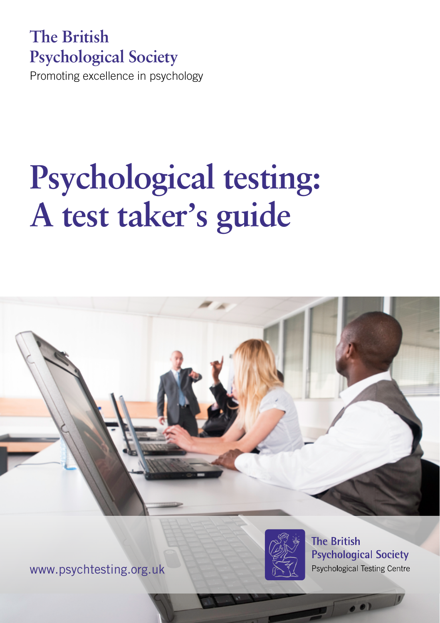# **The British Psychological Society**

Promoting excellence in psychology

# **Psychological testing: A test taker's guide**





**The British Psychological Society Psychological Testing Centre** 

 $\bullet$ 

www.psychtesting.org.uk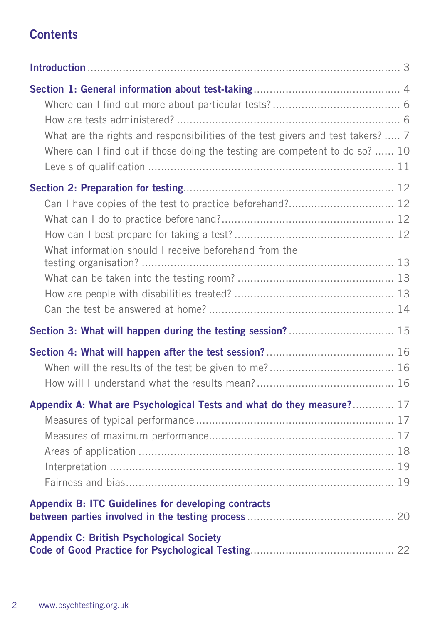#### **Contents**

| What are the rights and responsibilities of the test givers and test takers?  7<br>Where can I find out if those doing the testing are competent to do so?  10 |  |
|----------------------------------------------------------------------------------------------------------------------------------------------------------------|--|
| Can I have copies of the test to practice beforehand? 12<br>What information should I receive beforehand from the                                              |  |
|                                                                                                                                                                |  |
|                                                                                                                                                                |  |
| Appendix A: What are Psychological Tests and what do they measure? 17                                                                                          |  |
| Appendix B: ITC Guidelines for developing contracts                                                                                                            |  |
| <b>Appendix C: British Psychological Society</b>                                                                                                               |  |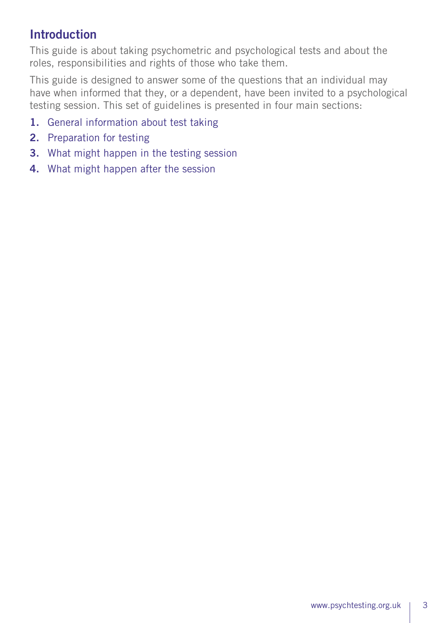## **Introduction**

This guide is about taking psychometric and psychological tests and about the roles, responsibilities and rights of those who take them.

This guide is designed to answer some of the questions that an individual may have when informed that they, or a dependent, have been invited to a psychological testing session. This set of guidelines is presented in four main sections:

- 1. General information about test taking
- 2. Preparation for testing
- 3. What might happen in the testing session
- 4. What might happen after the session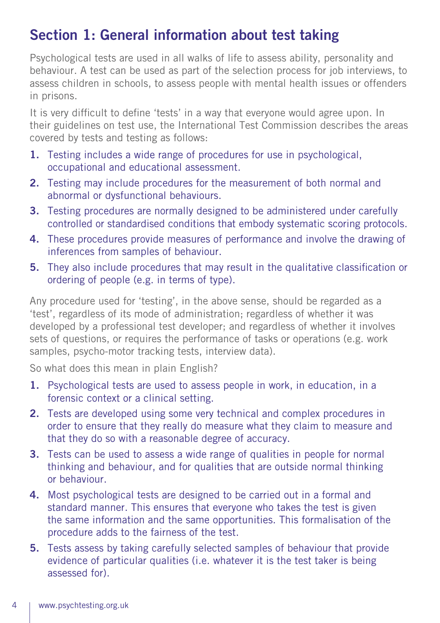# Section 1: General information about test taking

Psychological tests are used in all walks of life to assess ability, personality and behaviour. A test can be used as part of the selection process for job interviews, to assess children in schools, to assess people with mental health issues or offenders in prisons.

It is very difficult to define 'tests' in a way that everyone would agree upon. In their guidelines on test use, the International Test Commission describes the areas covered by tests and testing as follows:

- 1. Testing includes a wide range of procedures for use in psychological, occupational and educational assessment.
- 2. Testing may include procedures for the measurement of both normal and abnormal or dysfunctional behaviours.
- 3. Testing procedures are normally designed to be administered under carefully controlled or standardised conditions that embody systematic scoring protocols.
- 4. These procedures provide measures of performance and involve the drawing of inferences from samples of behaviour.
- 5. They also include procedures that may result in the qualitative classification or ordering of people (e.g. in terms of type).

Any procedure used for 'testing', in the above sense, should be regarded as a 'test', regardless of its mode of administration; regardless of whether it was developed by a professional test developer; and regardless of whether it involves sets of questions, or requires the performance of tasks or operations (e.g. work samples, psycho-motor tracking tests, interview data).

So what does this mean in plain English?

- 1. Psychological tests are used to assess people in work, in education, in a forensic context or a clinical setting.
- 2. Tests are developed using some very technical and complex procedures in order to ensure that they really do measure what they claim to measure and that they do so with a reasonable degree of accuracy.
- **3.** Tests can be used to assess a wide range of qualities in people for normal thinking and behaviour, and for qualities that are outside normal thinking or behaviour.
- 4. Most psychological tests are designed to be carried out in a formal and standard manner. This ensures that everyone who takes the test is given the same information and the same opportunities. This formalisation of the procedure adds to the fairness of the test.
- 5. Tests assess by taking carefully selected samples of behaviour that provide evidence of particular qualities (i.e. whatever it is the test taker is being assessed for).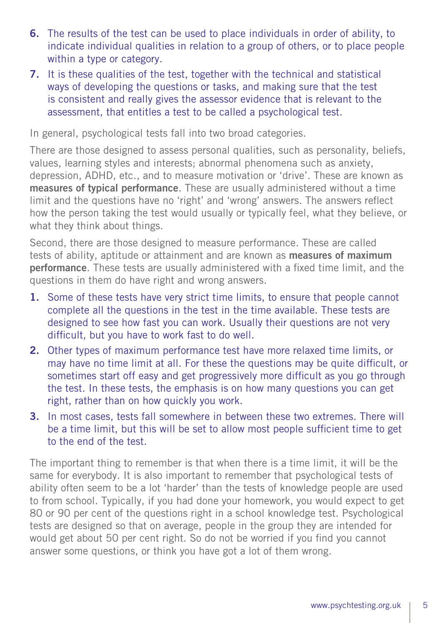- 6. The results of the test can be used to place individuals in order of ability, to indicate individual qualities in relation to a group of others, or to place people within a type or category.
- 7. It is these qualities of the test, together with the technical and statistical ways of developing the questions or tasks, and making sure that the test is consistent and really gives the assessor evidence that is relevant to the assessment, that entitles a test to be called a psychological test.

In general, psychological tests fall into two broad categories.

There are those designed to assess personal qualities, such as personality, beliefs, values, learning styles and interests; abnormal phenomena such as anxiety, depression, ADHD, etc., and to measure motivation or 'drive'. These are known as measures of typical performance. These are usually administered without a time limit and the questions have no 'right' and 'wrong' answers. The answers reflect how the person taking the test would usually or typically feel, what they believe, or what they think about things.

Second, there are those designed to measure performance. These are called tests of ability, aptitude or attainment and are known as measures of maximum performance. These tests are usually administered with a fixed time limit, and the questions in them do have right and wrong answers.

- 1. Some of these tests have very strict time limits, to ensure that people cannot complete all the questions in the test in the time available. These tests are designed to see how fast you can work. Usually their questions are not very difficult, but you have to work fast to do well.
- 2. Other types of maximum performance test have more relaxed time limits, or may have no time limit at all. For these the questions may be quite difficult, or sometimes start off easy and get progressively more difficult as you go through the test. In these tests, the emphasis is on how many questions you can get right, rather than on how quickly you work.
- 3. In most cases, tests fall somewhere in between these two extremes. There will be a time limit, but this will be set to allow most people sufficient time to get to the end of the test.

The important thing to remember is that when there is a time limit, it will be the same for everybody. It is also important to remember that psychological tests of ability often seem to be a lot 'harder' than the tests of knowledge people are used to from school. Typically, if you had done your homework, you would expect to get 80 or 90 per cent of the questions right in a school knowledge test. Psychological tests are designed so that on average, people in the group they are intended for would get about 50 per cent right. So do not be worried if you find you cannot answer some questions, or think you have got a lot of them wrong.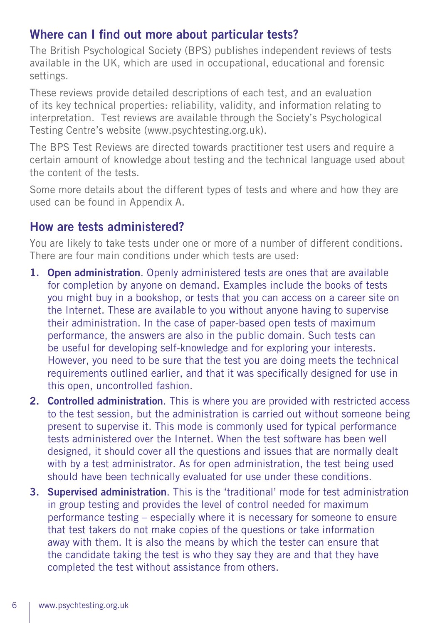#### Where can I find out more about particular tests?

The British Psychological Society (BPS) publishes independent reviews of tests available in the UK, which are used in occupational, educational and forensic settings.

These reviews provide detailed descriptions of each test, and an evaluation of its key technical properties: reliability, validity, and information relating to interpretation. Test reviews are available through the Society's Psychological Testing Centre's website (www.psychtesting.org.uk).

The BPS Test Reviews are directed towards practitioner test users and require a certain amount of knowledge about testing and the technical language used about the content of the tests.

Some more details about the different types of tests and where and how they are used can be found in Appendix A.

#### How are tests administered?

You are likely to take tests under one or more of a number of different conditions. There are four main conditions under which tests are used:

- 1. Open administration. Openly administered tests are ones that are available for completion by anyone on demand. Examples include the books of tests you might buy in a bookshop, or tests that you can access on a career site on the Internet. These are available to you without anyone having to supervise their administration. In the case of paper-based open tests of maximum performance, the answers are also in the public domain. Such tests can be useful for developing self-knowledge and for exploring your interests. However, you need to be sure that the test you are doing meets the technical requirements outlined earlier, and that it was specifically designed for use in this open, uncontrolled fashion.
- 2. Controlled administration. This is where you are provided with restricted access to the test session, but the administration is carried out without someone being present to supervise it. This mode is commonly used for typical performance tests administered over the Internet. When the test software has been well designed, it should cover all the questions and issues that are normally dealt with by a test administrator. As for open administration, the test being used should have been technically evaluated for use under these conditions.
- 3. Supervised administration. This is the 'traditional' mode for test administration in group testing and provides the level of control needed for maximum performance testing – especially where it is necessary for someone to ensure that test takers do not make copies of the questions or take information away with them. It is also the means by which the tester can ensure that the candidate taking the test is who they say they are and that they have completed the test without assistance from others.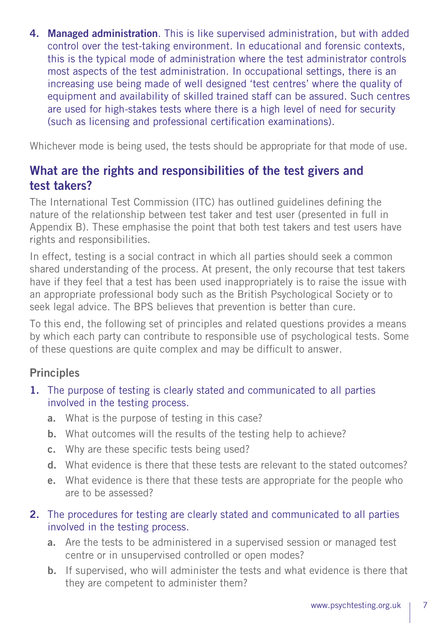4. Managed administration. This is like supervised administration, but with added control over the test-taking environment. In educational and forensic contexts, this is the typical mode of administration where the test administrator controls most aspects of the test administration. In occupational settings, there is an increasing use being made of well designed 'test centres' where the quality of equipment and availability of skilled trained staff can be assured. Such centres are used for high-stakes tests where there is a high level of need for security (such as licensing and professional certification examinations).

Whichever mode is being used, the tests should be appropriate for that mode of use.

#### What are the rights and responsibilities of the test givers and test takers?

The International Test Commission (ITC) has outlined guidelines defining the nature of the relationship between test taker and test user (presented in full in Appendix B). These emphasise the point that both test takers and test users have rights and responsibilities.

In effect, testing is a social contract in which all parties should seek a common shared understanding of the process. At present, the only recourse that test takers have if they feel that a test has been used inappropriately is to raise the issue with an appropriate professional body such as the British Psychological Society or to seek legal advice. The BPS believes that prevention is better than cure.

To this end, the following set of principles and related questions provides a means by which each party can contribute to responsible use of psychological tests. Some of these questions are quite complex and may be difficult to answer.

#### **Principles**

- 1. The purpose of testing is clearly stated and communicated to all parties involved in the testing process.
	- a. What is the purpose of testing in this case?
	- b. What outcomes will the results of the testing help to achieve?
	- c. Why are these specific tests being used?
	- d. What evidence is there that these tests are relevant to the stated outcomes?
	- e. What evidence is there that these tests are appropriate for the people who are to be assessed?

#### 2. The procedures for testing are clearly stated and communicated to all parties involved in the testing process.

- a. Are the tests to be administered in a supervised session or managed test centre or in unsupervised controlled or open modes?
- b. If supervised, who will administer the tests and what evidence is there that they are competent to administer them?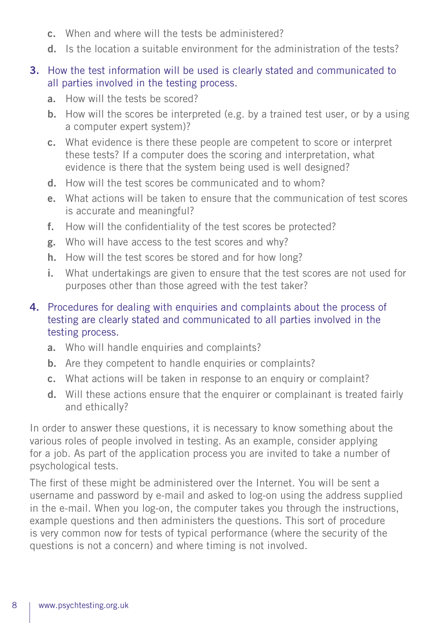- c. When and where will the tests be administered?
- d. Is the location a suitable environment for the administration of the tests?

#### 3. How the test information will be used is clearly stated and communicated to all parties involved in the testing process.

- a. How will the tests be scored?
- b. How will the scores be interpreted (e.g. by a trained test user, or by a using a computer expert system)?
- c. What evidence is there these people are competent to score or interpret these tests? If a computer does the scoring and interpretation, what evidence is there that the system being used is well designed?
- d. How will the test scores be communicated and to whom?
- e. What actions will be taken to ensure that the communication of test scores is accurate and meaningful?
- f. How will the confidentiality of the test scores be protected?
- g. Who will have access to the test scores and why?
- h. How will the test scores be stored and for how long?
- i. What undertakings are given to ensure that the test scores are not used for purposes other than those agreed with the test taker?

#### 4. Procedures for dealing with enquiries and complaints about the process of testing are clearly stated and communicated to all parties involved in the testing process.

- a. Who will handle enquiries and complaints?
- b. Are they competent to handle enquiries or complaints?
- c. What actions will be taken in response to an enquiry or complaint?
- d. Will these actions ensure that the enquirer or complainant is treated fairly and ethically?

In order to answer these questions, it is necessary to know something about the various roles of people involved in testing. As an example, consider applying for a job. As part of the application process you are invited to take a number of psychological tests.

The first of these might be administered over the Internet. You will be sent a username and password by e-mail and asked to log-on using the address supplied in the e-mail. When you log-on, the computer takes you through the instructions, example questions and then administers the questions. This sort of procedure is very common now for tests of typical performance (where the security of the questions is not a concern) and where timing is not involved.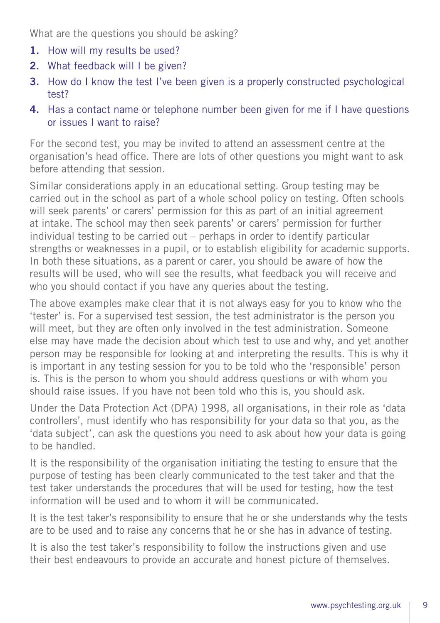What are the questions you should be asking?

- 1. How will my results be used?
- 2. What feedback will I be given?
- 3. How do I know the test I've been given is a properly constructed psychological test?
- 4. Has a contact name or telephone number been given for me if I have questions or issues I want to raise?

For the second test, you may be invited to attend an assessment centre at the organisation's head office. There are lots of other questions you might want to ask before attending that session.

Similar considerations apply in an educational setting. Group testing may be carried out in the school as part of a whole school policy on testing. Often schools will seek parents' or carers' permission for this as part of an initial agreement at intake. The school may then seek parents' or carers' permission for further individual testing to be carried out – perhaps in order to identify particular strengths or weaknesses in a pupil, or to establish eligibility for academic supports. In both these situations, as a parent or carer, you should be aware of how the results will be used, who will see the results, what feedback you will receive and who you should contact if you have any queries about the testing.

The above examples make clear that it is not always easy for you to know who the 'tester' is. For a supervised test session, the test administrator is the person you will meet, but they are often only involved in the test administration. Someone else may have made the decision about which test to use and why, and yet another person may be responsible for looking at and interpreting the results. This is why it is important in any testing session for you to be told who the 'responsible' person is. This is the person to whom you should address questions or with whom you should raise issues. If you have not been told who this is, you should ask.

Under the Data Protection Act (DPA) 1998, all organisations, in their role as 'data controllers', must identify who has responsibility for your data so that you, as the 'data subject', can ask the questions you need to ask about how your data is going to be handled.

It is the responsibility of the organisation initiating the testing to ensure that the purpose of testing has been clearly communicated to the test taker and that the test taker understands the procedures that will be used for testing, how the test information will be used and to whom it will be communicated.

It is the test taker's responsibility to ensure that he or she understands why the tests are to be used and to raise any concerns that he or she has in advance of testing.

It is also the test taker's responsibility to follow the instructions given and use their best endeavours to provide an accurate and honest picture of themselves.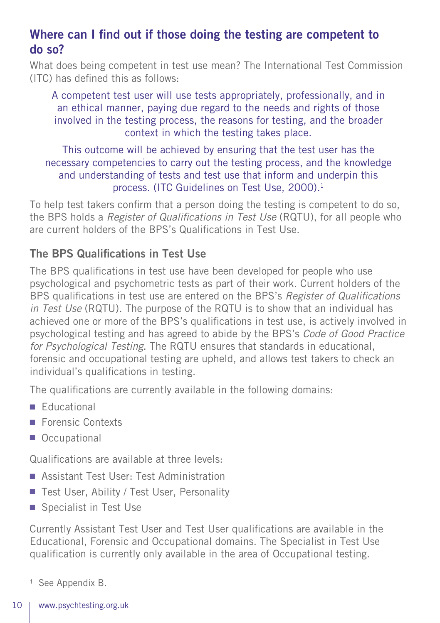## Where can I find out if those doing the testing are competent to do so?

What does being competent in test use mean? The International Test Commission (ITC) has defined this as follows:

A competent test user will use tests appropriately, professionally, and in an ethical manner, paying due regard to the needs and rights of those involved in the testing process, the reasons for testing, and the broader context in which the testing takes place.

This outcome will be achieved by ensuring that the test user has the necessary competencies to carry out the testing process, and the knowledge and understanding of tests and test use that inform and underpin this process. (ITC Guidelines on Test Use, 2000).<sup>1</sup>

To help test takers confirm that a person doing the testing is competent to do so, the BPS holds a *Register of Qualifications in Test Use* (RQTU), for all people who are current holders of the BPS's Qualifications in Test Use.

#### The BPS Qualifications in Test Use

The BPS qualifications in test use have been developed for people who use psychological and psychometric tests as part of their work. Current holders of the BPS qualifications in test use are entered on the BPS's *Register of Qualifications in Test Use* (RQTU). The purpose of the RQTU is to show that an individual has achieved one or more of the BPS's qualifications in test use, is actively involved in psychological testing and has agreed to abide by the BPS's *Code of Good Practice for Psychological Testing*. The RQTU ensures that standards in educational, forensic and occupational testing are upheld, and allows test takers to check an individual's qualifications in testing.

The qualifications are currently available in the following domains:

- Educational
- Forensic Contexts
- Occupational

Qualifications are available at three levels:

- Assistant Test User: Test Administration
- Test User, Ability / Test User, Personality
- Specialist in Test Use

Currently Assistant Test User and Test User qualifications are available in the Educational, Forensic and Occupational domains. The Specialist in Test Use qualification is currently only available in the area of Occupational testing.

<sup>1</sup> See Appendix B.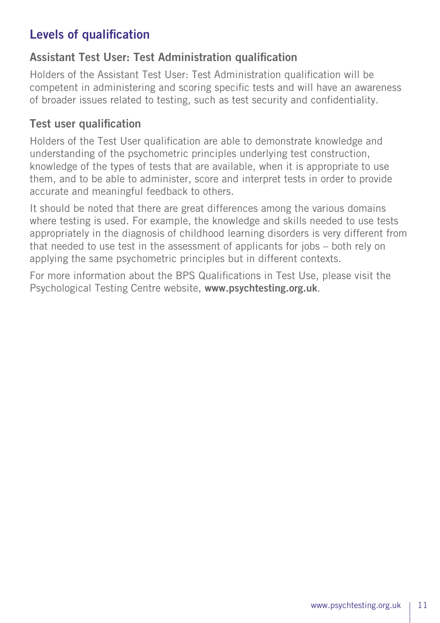## Levels of qualification

#### Assistant Test User: Test Administration qualification

Holders of the Assistant Test User: Test Administration qualification will be competent in administering and scoring specific tests and will have an awareness of broader issues related to testing, such as test security and confidentiality.

#### Test user qualification

Holders of the Test User qualification are able to demonstrate knowledge and understanding of the psychometric principles underlying test construction, knowledge of the types of tests that are available, when it is appropriate to use them, and to be able to administer, score and interpret tests in order to provide accurate and meaningful feedback to others.

It should be noted that there are great differences among the various domains where testing is used. For example, the knowledge and skills needed to use tests appropriately in the diagnosis of childhood learning disorders is very different from that needed to use test in the assessment of applicants for jobs – both rely on applying the same psychometric principles but in different contexts.

For more information about the BPS Qualifications in Test Use, please visit the Psychological Testing Centre website, www.psychtesting.org.uk.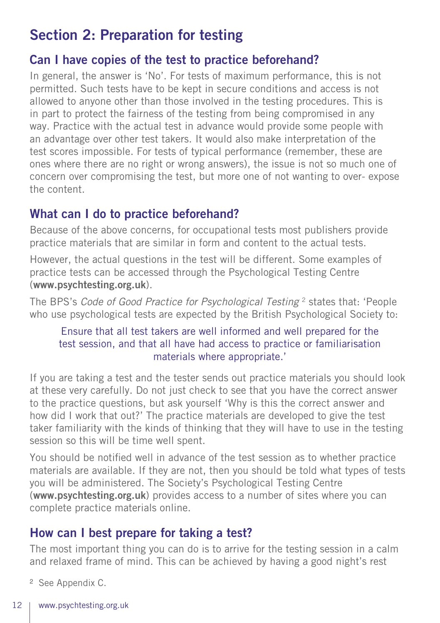# Section 2: Preparation for testing

#### Can I have copies of the test to practice beforehand?

In general, the answer is 'No'. For tests of maximum performance, this is not permitted. Such tests have to be kept in secure conditions and access is not allowed to anyone other than those involved in the testing procedures. This is in part to protect the fairness of the testing from being compromised in any way. Practice with the actual test in advance would provide some people with an advantage over other test takers. It would also make interpretation of the test scores impossible. For tests of typical performance (remember, these are ones where there are no right or wrong answers), the issue is not so much one of concern over compromising the test, but more one of not wanting to over- expose the content.

## What can I do to practice beforehand?

Because of the above concerns, for occupational tests most publishers provide practice materials that are similar in form and content to the actual tests.

However, the actual questions in the test will be different. Some examples of practice tests can be accessed through the Psychological Testing Centre (www.psychtesting.org.uk).

The BPS's *Code of Good Practice for Psychological Testing* 2 states that: 'People who use psychological tests are expected by the British Psychological Society to:

#### Ensure that all test takers are well informed and well prepared for the test session, and that all have had access to practice or familiarisation materials where appropriate.'

If you are taking a test and the tester sends out practice materials you should look at these very carefully. Do not just check to see that you have the correct answer to the practice questions, but ask yourself 'Why is this the correct answer and how did I work that out?' The practice materials are developed to give the test taker familiarity with the kinds of thinking that they will have to use in the testing session so this will be time well spent.

You should be notified well in advance of the test session as to whether practice materials are available. If they are not, then you should be told what types of tests you will be administered. The Society's Psychological Testing Centre (www.psychtesting.org.uk) provides access to a number of sites where you can complete practice materials online.

## How can I best prepare for taking a test?

The most important thing you can do is to arrive for the testing session in a calm and relaxed frame of mind. This can be achieved by having a good night's rest

- <sup>2</sup> See Appendix C.
- 12 www.psychtesting.org.uk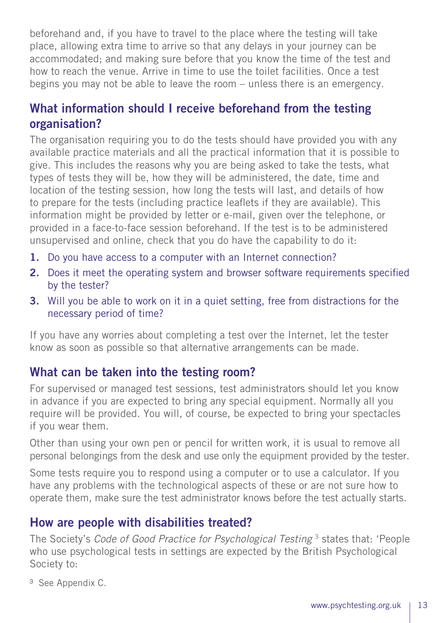beforehand and, if you have to travel to the place where the testing will take place, allowing extra time to arrive so that any delays in your journey can be accommodated; and making sure before that you know the time of the test and how to reach the venue. Arrive in time to use the toilet facilities. Once a test begins you may not be able to leave the room – unless there is an emergency.

## What information should I receive beforehand from the testing organisation?

The organisation requiring you to do the tests should have provided you with any available practice materials and all the practical information that it is possible to give. This includes the reasons why you are being asked to take the tests, what types of tests they will be, how they will be administered, the date, time and location of the testing session, how long the tests will last, and details of how to prepare for the tests (including practice leaflets if they are available). This information might be provided by letter or e-mail, given over the telephone, or provided in a face-to-face session beforehand. If the test is to be administered unsupervised and online, check that you do have the capability to do it:

- 1. Do you have access to a computer with an Internet connection?
- 2. Does it meet the operating system and browser software requirements specified by the tester?
- 3. Will you be able to work on it in a quiet setting, free from distractions for the necessary period of time?

If you have any worries about completing a test over the Internet, let the tester know as soon as possible so that alternative arrangements can be made.

#### What can be taken into the testing room?

For supervised or managed test sessions, test administrators should let you know in advance if you are expected to bring any special equipment. Normally all you require will be provided. You will, of course, be expected to bring your spectacles if you wear them.

Other than using your own pen or pencil for written work, it is usual to remove all personal belongings from the desk and use only the equipment provided by the tester.

Some tests require you to respond using a computer or to use a calculator. If you have any problems with the technological aspects of these or are not sure how to operate them, make sure the test administrator knows before the test actually starts.

#### How are people with disabilities treated?

The Society's *Code of Good Practice for Psychological Testing* 3 states that: 'People who use psychological tests in settings are expected by the British Psychological Society to:

<sup>3</sup> See Appendix C.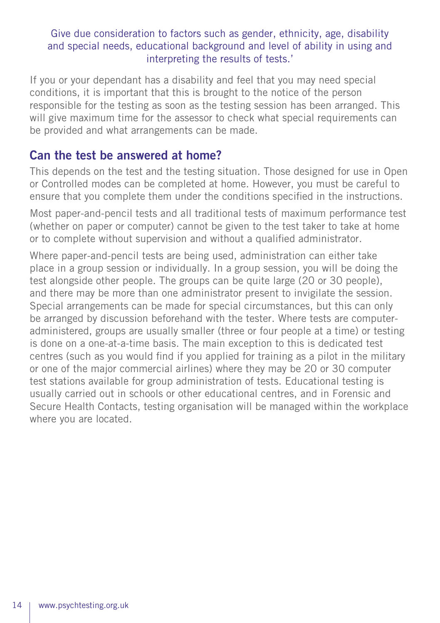#### Give due consideration to factors such as gender, ethnicity, age, disability and special needs, educational background and level of ability in using and interpreting the results of tests.'

If you or your dependant has a disability and feel that you may need special conditions, it is important that this is brought to the notice of the person responsible for the testing as soon as the testing session has been arranged. This will give maximum time for the assessor to check what special requirements can be provided and what arrangements can be made.

#### Can the test be answered at home?

This depends on the test and the testing situation. Those designed for use in Open or Controlled modes can be completed at home. However, you must be careful to ensure that you complete them under the conditions specified in the instructions.

Most paper-and-pencil tests and all traditional tests of maximum performance test (whether on paper or computer) cannot be given to the test taker to take at home or to complete without supervision and without a qualified administrator.

Where paper-and-pencil tests are being used, administration can either take place in a group session or individually. In a group session, you will be doing the test alongside other people. The groups can be quite large (20 or 30 people), and there may be more than one administrator present to invigilate the session. Special arrangements can be made for special circumstances, but this can only be arranged by discussion beforehand with the tester. Where tests are computeradministered, groups are usually smaller (three or four people at a time) or testing is done on a one-at-a-time basis. The main exception to this is dedicated test centres (such as you would find if you applied for training as a pilot in the military or one of the major commercial airlines) where they may be 20 or 30 computer test stations available for group administration of tests. Educational testing is usually carried out in schools or other educational centres, and in Forensic and Secure Health Contacts, testing organisation will be managed within the workplace where you are located.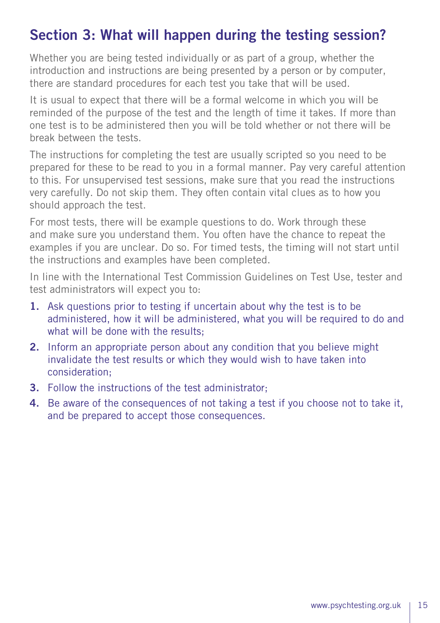# Section 3: What will happen during the testing session?

Whether you are being tested individually or as part of a group, whether the introduction and instructions are being presented by a person or by computer, there are standard procedures for each test you take that will be used.

It is usual to expect that there will be a formal welcome in which you will be reminded of the purpose of the test and the length of time it takes. If more than one test is to be administered then you will be told whether or not there will be break between the tests.

The instructions for completing the test are usually scripted so you need to be prepared for these to be read to you in a formal manner. Pay very careful attention to this. For unsupervised test sessions, make sure that you read the instructions very carefully. Do not skip them. They often contain vital clues as to how you should approach the test.

For most tests, there will be example questions to do. Work through these and make sure you understand them. You often have the chance to repeat the examples if you are unclear. Do so. For timed tests, the timing will not start until the instructions and examples have been completed.

In line with the International Test Commission Guidelines on Test Use, tester and test administrators will expect you to:

- 1. Ask questions prior to testing if uncertain about why the test is to be administered, how it will be administered, what you will be required to do and what will be done with the results:
- 2. Inform an appropriate person about any condition that you believe might invalidate the test results or which they would wish to have taken into consideration;
- 3. Follow the instructions of the test administrator;
- 4. Be aware of the consequences of not taking a test if you choose not to take it, and be prepared to accept those consequences.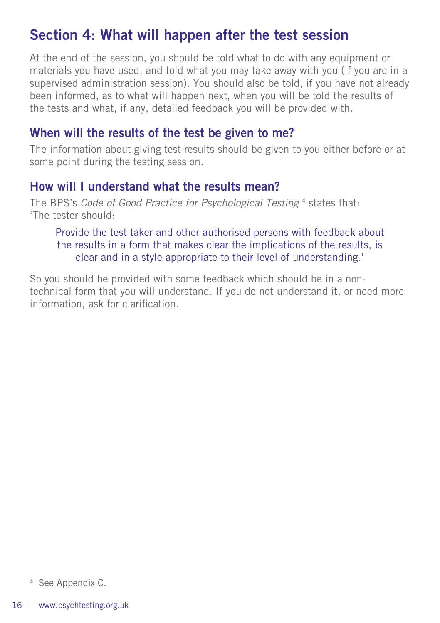# Section 4: What will happen after the test session

At the end of the session, you should be told what to do with any equipment or materials you have used, and told what you may take away with you (if you are in a supervised administration session). You should also be told, if you have not already been informed, as to what will happen next, when you will be told the results of the tests and what, if any, detailed feedback you will be provided with.

#### When will the results of the test be given to me?

The information about giving test results should be given to you either before or at some point during the testing session.

#### How will I understand what the results mean?

The BPS's *Code of Good Practice for Psychological Testing* 4 states that: 'The tester should:

Provide the test taker and other authorised persons with feedback about the results in a form that makes clear the implications of the results, is clear and in a style appropriate to their level of understanding.'

So you should be provided with some feedback which should be in a nontechnical form that you will understand. If you do not understand it, or need more information, ask for clarification.

<sup>4</sup> See Appendix C.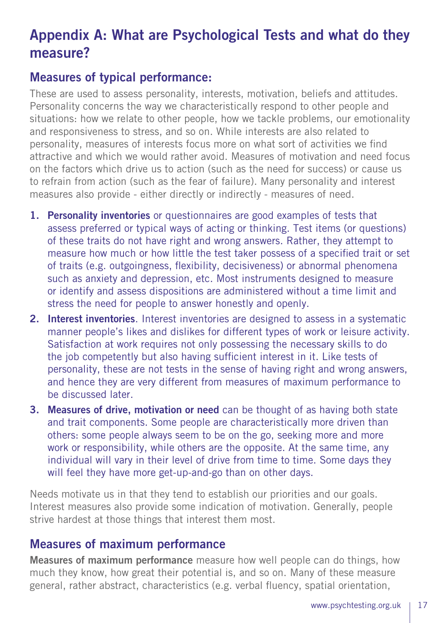# Appendix A: What are Psychological Tests and what do they measure?

#### Measures of typical performance:

These are used to assess personality, interests, motivation, beliefs and attitudes. Personality concerns the way we characteristically respond to other people and situations: how we relate to other people, how we tackle problems, our emotionality and responsiveness to stress, and so on. While interests are also related to personality, measures of interests focus more on what sort of activities we find attractive and which we would rather avoid. Measures of motivation and need focus on the factors which drive us to action (such as the need for success) or cause us to refrain from action (such as the fear of failure). Many personality and interest measures also provide - either directly or indirectly - measures of need.

- 1. Personality inventories or questionnaires are good examples of tests that assess preferred or typical ways of acting or thinking. Test items (or questions) of these traits do not have right and wrong answers. Rather, they attempt to measure how much or how little the test taker possess of a specified trait or set of traits (e.g. outgoingness, flexibility, decisiveness) or abnormal phenomena such as anxiety and depression, etc. Most instruments designed to measure or identify and assess dispositions are administered without a time limit and stress the need for people to answer honestly and openly.
- 2. Interest inventories. Interest inventories are designed to assess in a systematic manner people's likes and dislikes for different types of work or leisure activity. Satisfaction at work requires not only possessing the necessary skills to do the job competently but also having sufficient interest in it. Like tests of personality, these are not tests in the sense of having right and wrong answers, and hence they are very different from measures of maximum performance to be discussed later.
- 3. Measures of drive, motivation or need can be thought of as having both state and trait components. Some people are characteristically more driven than others: some people always seem to be on the go, seeking more and more work or responsibility, while others are the opposite. At the same time, any individual will vary in their level of drive from time to time. Some days they will feel they have more get-up-and-go than on other days.

Needs motivate us in that they tend to establish our priorities and our goals. Interest measures also provide some indication of motivation. Generally, people strive hardest at those things that interest them most.

#### Measures of maximum performance

Measures of maximum performance measure how well people can do things, how much they know, how great their potential is, and so on. Many of these measure general, rather abstract, characteristics (e.g. verbal fluency, spatial orientation,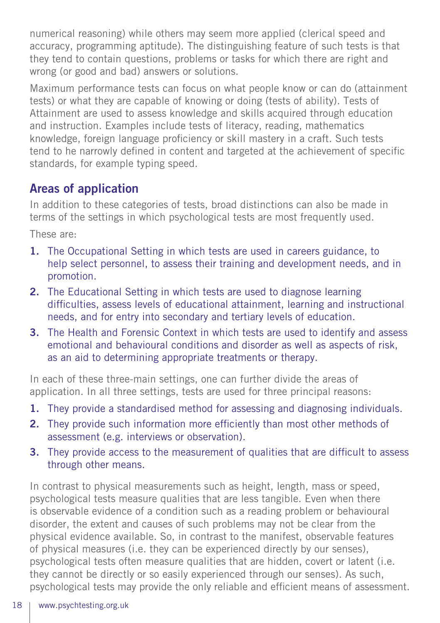numerical reasoning) while others may seem more applied (clerical speed and accuracy, programming aptitude). The distinguishing feature of such tests is that they tend to contain questions, problems or tasks for which there are right and wrong (or good and bad) answers or solutions.

Maximum performance tests can focus on what people know or can do (attainment tests) or what they are capable of knowing or doing (tests of ability). Tests of Attainment are used to assess knowledge and skills acquired through education and instruction. Examples include tests of literacy, reading, mathematics knowledge, foreign language proficiency or skill mastery in a craft. Such tests tend to he narrowly defined in content and targeted at the achievement of specific standards, for example typing speed.

## Areas of application

In addition to these categories of tests, broad distinctions can also be made in terms of the settings in which psychological tests are most frequently used.

These are:

- 1. The Occupational Setting in which tests are used in careers guidance, to help select personnel, to assess their training and development needs, and in promotion.
- 2. The Educational Setting in which tests are used to diagnose learning difficulties, assess levels of educational attainment, learning and instructional needs, and for entry into secondary and tertiary levels of education.
- 3. The Health and Forensic Context in which tests are used to identify and assess emotional and behavioural conditions and disorder as well as aspects of risk, as an aid to determining appropriate treatments or therapy.

In each of these three-main settings, one can further divide the areas of application. In all three settings, tests are used for three principal reasons:

- 1. They provide a standardised method for assessing and diagnosing individuals.
- 2. They provide such information more efficiently than most other methods of assessment (e.g. interviews or observation).
- 3. They provide access to the measurement of qualities that are difficult to assess through other means.

In contrast to physical measurements such as height, length, mass or speed, psychological tests measure qualities that are less tangible. Even when there is observable evidence of a condition such as a reading problem or behavioural disorder, the extent and causes of such problems may not be clear from the physical evidence available. So, in contrast to the manifest, observable features of physical measures (i.e. they can be experienced directly by our senses), psychological tests often measure qualities that are hidden, covert or latent (i.e. they cannot be directly or so easily experienced through our senses). As such, psychological tests may provide the only reliable and efficient means of assessment.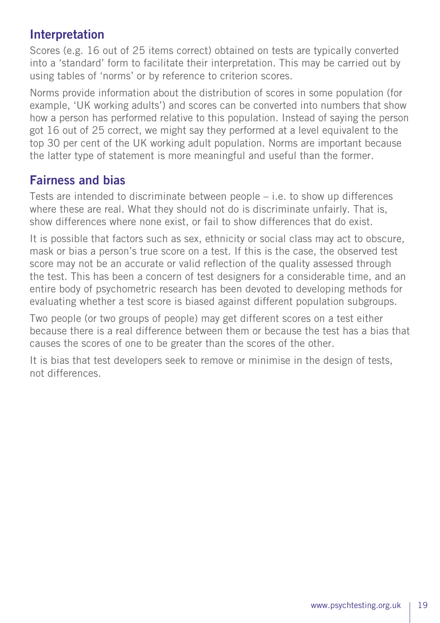### Interpretation

Scores (e.g. 16 out of 25 items correct) obtained on tests are typically converted into a 'standard' form to facilitate their interpretation. This may be carried out by using tables of 'norms' or by reference to criterion scores.

Norms provide information about the distribution of scores in some population (for example, 'UK working adults') and scores can be converted into numbers that show how a person has performed relative to this population. Instead of saying the person got 16 out of 25 correct, we might say they performed at a level equivalent to the top 30 per cent of the UK working adult population. Norms are important because the latter type of statement is more meaningful and useful than the former.

#### Fairness and bias

Tests are intended to discriminate between people – i.e. to show up differences where these are real. What they should not do is discriminate unfairly. That is, show differences where none exist, or fail to show differences that do exist.

It is possible that factors such as sex, ethnicity or social class may act to obscure, mask or bias a person's true score on a test. If this is the case, the observed test score may not be an accurate or valid reflection of the quality assessed through the test. This has been a concern of test designers for a considerable time, and an entire body of psychometric research has been devoted to developing methods for evaluating whether a test score is biased against different population subgroups.

Two people (or two groups of people) may get different scores on a test either because there is a real difference between them or because the test has a bias that causes the scores of one to be greater than the scores of the other.

It is bias that test developers seek to remove or minimise in the design of tests, not differences.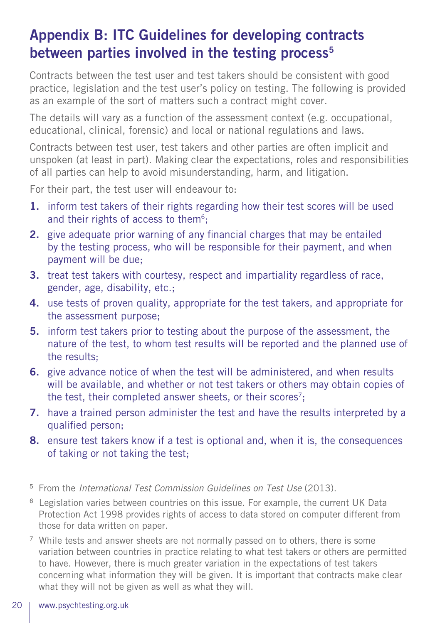# Appendix B: ITC Guidelines for developing contracts between parties involved in the testing process $5$

Contracts between the test user and test takers should be consistent with good practice, legislation and the test user's policy on testing. The following is provided as an example of the sort of matters such a contract might cover.

The details will vary as a function of the assessment context (e.g. occupational, educational, clinical, forensic) and local or national regulations and laws.

Contracts between test user, test takers and other parties are often implicit and unspoken (at least in part). Making clear the expectations, roles and responsibilities of all parties can help to avoid misunderstanding, harm, and litigation.

For their part, the test user will endeavour to:

- 1. inform test takers of their rights regarding how their test scores will be used and their rights of access to them<sup>6</sup>:
- 2. give adequate prior warning of any financial charges that may be entailed by the testing process, who will be responsible for their payment, and when payment will be due;
- 3. treat test takers with courtesy, respect and impartiality regardless of race, gender, age, disability, etc.;
- 4. use tests of proven quality, appropriate for the test takers, and appropriate for the assessment purpose;
- 5. inform test takers prior to testing about the purpose of the assessment, the nature of the test, to whom test results will be reported and the planned use of the results;
- 6. give advance notice of when the test will be administered, and when results will be available, and whether or not test takers or others may obtain copies of the test, their completed answer sheets, or their scores<sup>7</sup>;
- 7. have a trained person administer the test and have the results interpreted by a qualified person;
- 8. ensure test takers know if a test is optional and, when it is, the consequences of taking or not taking the test;
- <sup>5</sup> From the *International Test Commission Guidelines on Test Use* (2013).
- <sup>6</sup> Legislation varies between countries on this issue. For example, the current UK Data Protection Act 1998 provides rights of access to data stored on computer different from those for data written on paper.
- <sup>7</sup> While tests and answer sheets are not normally passed on to others, there is some variation between countries in practice relating to what test takers or others are permitted to have. However, there is much greater variation in the expectations of test takers concerning what information they will be given. It is important that contracts make clear what they will not be given as well as what they will.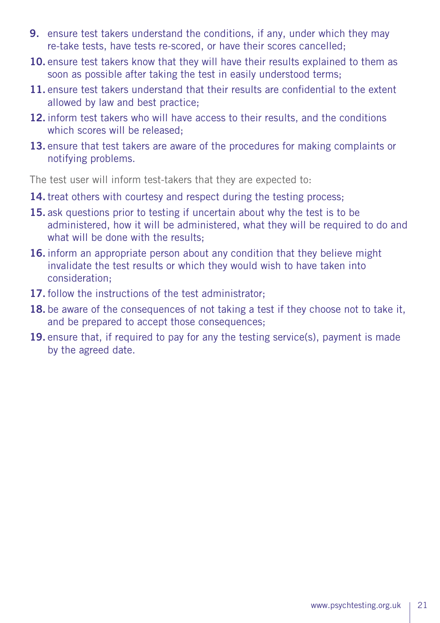- 9. ensure test takers understand the conditions, if any, under which they may re-take tests, have tests re-scored, or have their scores cancelled;
- 10. ensure test takers know that they will have their results explained to them as soon as possible after taking the test in easily understood terms;
- 11. ensure test takers understand that their results are confidential to the extent allowed by law and best practice;
- 12. inform test takers who will have access to their results, and the conditions which scores will be released;
- 13. ensure that test takers are aware of the procedures for making complaints or notifying problems.

The test user will inform test-takers that they are expected to:

- 14. treat others with courtesy and respect during the testing process;
- 15. ask questions prior to testing if uncertain about why the test is to be administered, how it will be administered, what they will be required to do and what will be done with the results:
- 16. inform an appropriate person about any condition that they believe might invalidate the test results or which they would wish to have taken into consideration;
- 17. follow the instructions of the test administrator:
- 18. be aware of the consequences of not taking a test if they choose not to take it, and be prepared to accept those consequences;
- 19. ensure that, if required to pay for any the testing service(s), payment is made by the agreed date.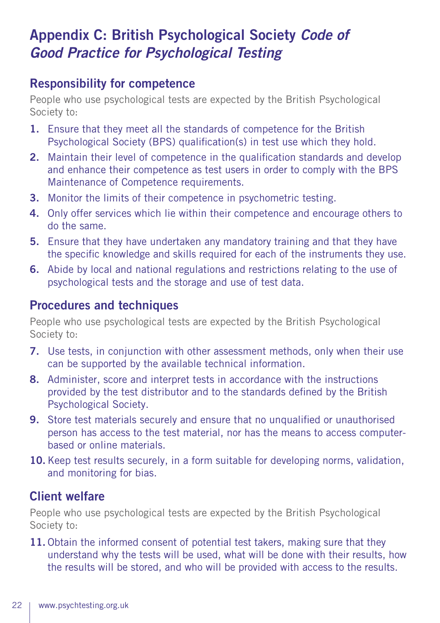# Appendix C: British Psychological Society *Code of Good Practice for Psychological Testing*

#### Responsibility for competence

People who use psychological tests are expected by the British Psychological Society to:

- 1. Ensure that they meet all the standards of competence for the British Psychological Society (BPS) qualification(s) in test use which they hold.
- 2. Maintain their level of competence in the qualification standards and develop and enhance their competence as test users in order to comply with the BPS Maintenance of Competence requirements.
- 3. Monitor the limits of their competence in psychometric testing.
- 4. Only offer services which lie within their competence and encourage others to do the same.
- 5. Ensure that they have undertaken any mandatory training and that they have the specific knowledge and skills required for each of the instruments they use.
- 6. Abide by local and national regulations and restrictions relating to the use of psychological tests and the storage and use of test data.

#### Procedures and techniques

People who use psychological tests are expected by the British Psychological Society to:

- 7. Use tests, in conjunction with other assessment methods, only when their use can be supported by the available technical information.
- 8. Administer, score and interpret tests in accordance with the instructions provided by the test distributor and to the standards defined by the British Psychological Society.
- 9. Store test materials securely and ensure that no unqualified or unauthorised person has access to the test material, nor has the means to access computerbased or online materials.
- 10. Keep test results securely, in a form suitable for developing norms, validation, and monitoring for bias.

#### Client welfare

People who use psychological tests are expected by the British Psychological Society to:

11. Obtain the informed consent of potential test takers, making sure that they understand why the tests will be used, what will be done with their results, how the results will be stored, and who will be provided with access to the results.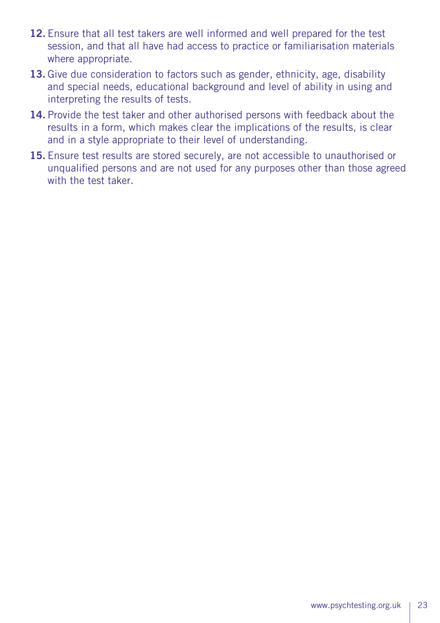- 12. Ensure that all test takers are well informed and well prepared for the test session, and that all have had access to practice or familiarisation materials where appropriate.
- 13. Give due consideration to factors such as gender, ethnicity, age, disability and special needs, educational background and level of ability in using and interpreting the results of tests.
- 14. Provide the test taker and other authorised persons with feedback about the results in a form, which makes clear the implications of the results, is clear and in a style appropriate to their level of understanding.
- 15. Ensure test results are stored securely, are not accessible to unauthorised or unqualified persons and are not used for any purposes other than those agreed with the test taker.